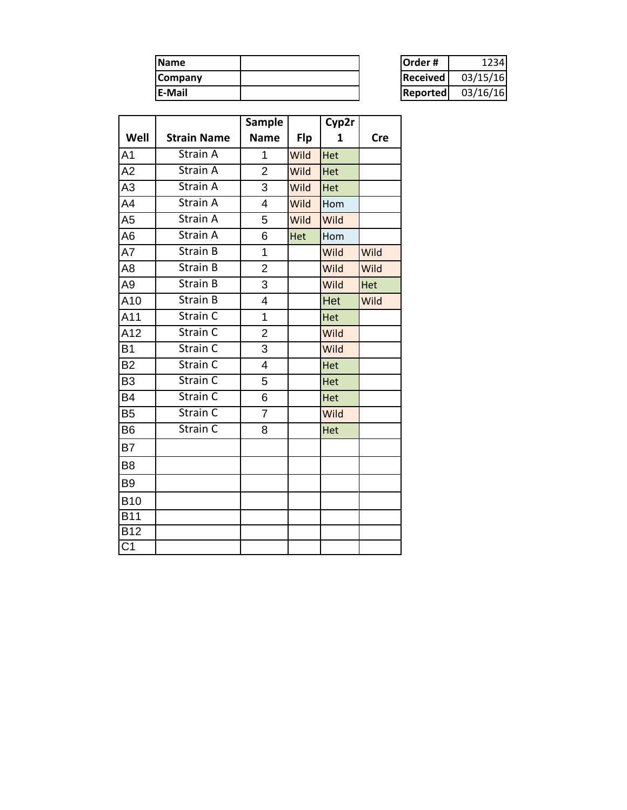| <b>Name</b>    | <b>Order#</b>    | 234      |
|----------------|------------------|----------|
| <b>Company</b> | <b>IReceived</b> | 03/15/16 |
| <b>E-Mail</b>  | Reported         | 03/16/16 |

| Order #      | 1234     |
|--------------|----------|
| l Received l | 03/15/16 |
| Reportedl    | 03/16/16 |

|                  |                       | <b>Sample</b>  |            | Cyp2r |            |
|------------------|-----------------------|----------------|------------|-------|------------|
| Well             | <b>Strain Name</b>    | <b>Name</b>    | <b>Flp</b> | 1     | <b>Cre</b> |
| A <sub>1</sub>   | Strain A              | $\mathbf{1}$   | Wild       | Het   |            |
| A2               | Strain $\overline{A}$ | $\overline{2}$ | Wild       | Het   |            |
| A3               | Strain A              | 3              | Wild       | Het   |            |
| A4               | Strain A              | 4              | Wild       | Hom   |            |
| A5               | Strain A              | 5              | Wild       | Wild  |            |
| A6               | Strain A              | 6              | Het        | Hom   |            |
| A7               | Strain B              | $\mathbf 1$    |            | Wild  | Wild       |
| A8               | Strain B              | $\overline{2}$ |            | Wild  | Wild       |
| A9               | Strain B              | 3              |            | Wild  | Het        |
| A10              | Strain B              | 4              |            | Het   | Wild       |
| A11              | Strain C              | 1              |            | Het   |            |
| A12              | Strain C              | $\overline{2}$ |            | Wild  |            |
| B <sub>1</sub>   | Strain C              | 3              |            | Wild  |            |
| B <sub>2</sub>   | Strain C              | 4              |            | Het   |            |
| B <sub>3</sub>   | Strain C              | 5              |            | Het   |            |
| B4               | Strain C              | 6              |            | Het   |            |
| B <sub>5</sub>   | Strain C              | $\overline{7}$ |            | Wild  |            |
| B <sub>6</sub>   | Strain C              | 8              |            | Het   |            |
| B7               |                       |                |            |       |            |
| B <sub>8</sub>   |                       |                |            |       |            |
| B <sub>9</sub>   |                       |                |            |       |            |
| <b>B10</b>       |                       |                |            |       |            |
| $\overline{B11}$ |                       |                |            |       |            |
| <b>B12</b>       |                       |                |            |       |            |
| $\overline{C1}$  |                       |                |            |       |            |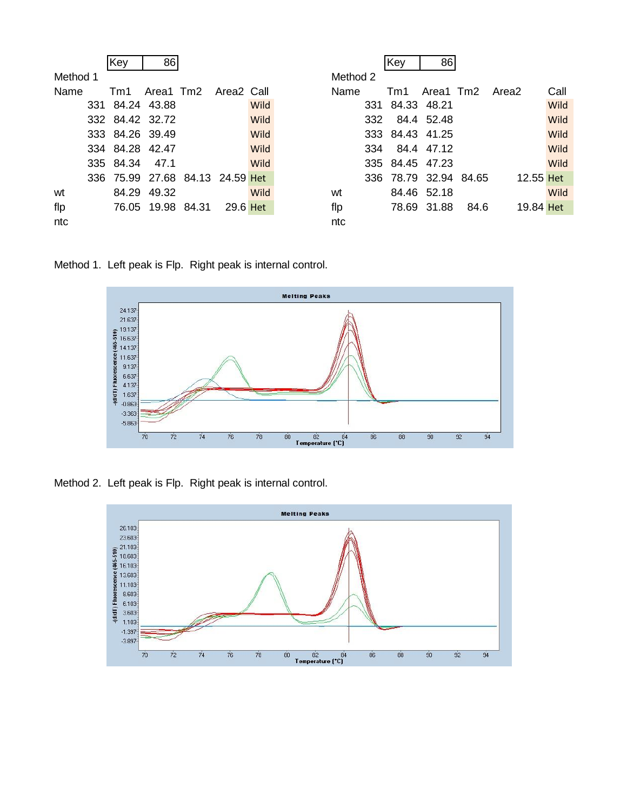|          | Key                             | 86          |                   |          |      |             | Key             | 86                    |                     |           |      |
|----------|---------------------------------|-------------|-------------------|----------|------|-------------|-----------------|-----------------------|---------------------|-----------|------|
| Method 1 |                                 |             |                   |          |      | Method 2    |                 |                       |                     |           |      |
| Name     | Tm1 Area1 Tm2 Area2 Call        |             |                   |          |      | <b>Name</b> |                 |                       | Tm1 Area1 Tm2 Area2 |           | Call |
|          | 331 84.24 43.88                 |             |                   |          | Wild |             | 331 84.33 48.21 |                       |                     |           | Wild |
|          | 332 84.42 32.72                 |             |                   |          | Wild |             | 332 84.4 52.48  |                       |                     |           | Wild |
|          | 333 84.26 39.49                 |             |                   |          | Wild |             | 333 84.43 41.25 |                       |                     |           | Wild |
|          | 334 84.28 42.47                 |             |                   |          | Wild |             | 334 84.4 47.12  |                       |                     |           | Wild |
|          | 335 84.34 47.1                  |             |                   |          | Wild |             | 335 84.45 47.23 |                       |                     |           | Wild |
|          | 336 75.99 27.68 84.13 24.59 Het |             |                   |          |      |             |                 | 336 78.79 32.94 84.65 |                     | 12.55 Het |      |
| wt       |                                 | 84.29 49.32 |                   |          | Wild | wt          |                 | 84.46 52.18           |                     |           | Wild |
| flp      |                                 |             | 76.05 19.98 84.31 | 29.6 Het |      | flp         |                 | 78.69 31.88           | - 84.6              | 19.84 Het |      |
| ntc      |                                 |             |                   |          |      | ntc         |                 |                       |                     |           |      |

Method 1. Left peak is Flp. Right peak is internal control.



Method 2. Left peak is Flp. Right peak is internal control.

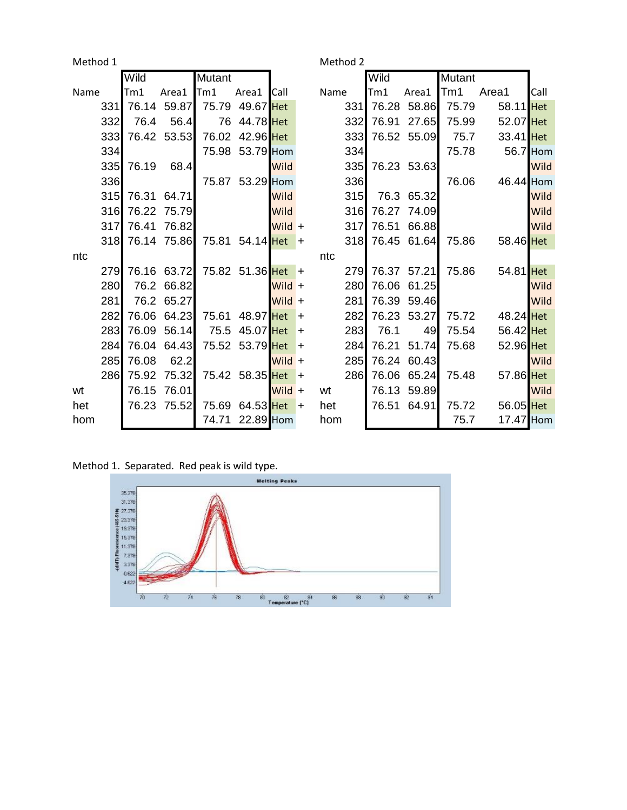| Method 1<br>Method 2 |            |       |             |        |                 |               |           |      |            |       |             |               |           |      |
|----------------------|------------|-------|-------------|--------|-----------------|---------------|-----------|------|------------|-------|-------------|---------------|-----------|------|
|                      |            | Wild  |             | Mutant |                 |               |           |      |            | Wild  |             | <b>Mutant</b> |           |      |
| Name                 |            | Tm1   | Area1       | Tm1    | Area1           | <b>I</b> Call |           | Name |            | Tm1   | Area1       | Tm1           | Area1     | Call |
|                      | 331        | 76.14 | 59.87       | 75.79  | 49.67 Het       |               |           |      | 331        | 76.28 | 58.86       | 75.79         | 58.11 Het |      |
|                      | 332        | 76.4  | 56.4        | 76     | 44.78 Het       |               |           |      | 332        | 76.91 | 27.65       | 75.99         | 52.07 Het |      |
|                      | 333        | 76.42 | 53.53       | 76.02  | 42.96 Het       |               |           |      | 333        |       | 76.52 55.09 | 75.7          | 33.41 Het |      |
|                      | 334        |       |             |        | 75.98 53.79 Hom |               |           |      | 334        |       |             | 75.78         | 56.7 Hom  |      |
|                      | 335        | 76.19 | 68.4        |        |                 | Wild          |           |      | 335        |       | 76.23 53.63 |               |           | Wild |
|                      | 336        |       |             |        | 75.87 53.29 Hom |               |           |      | 336        |       |             | 76.06         | 46.44 Hom |      |
|                      | 315        | 76.31 | 64.71       |        |                 | Wild          |           |      | 315        |       | 76.3 65.32  |               |           | Wild |
|                      | 316        | 76.22 | 75.79       |        |                 | Wild          |           |      | 316        | 76.27 | 74.09       |               |           | Wild |
|                      | 317        | 76.41 | 76.82       |        |                 | Wild +        |           |      | 317        | 76.51 | 66.88       |               |           | Wild |
|                      | 318        |       | 76.14 75.86 |        | 75.81 54.14 Het |               | $\ddot{}$ |      | 318        |       | 76.45 61.64 | 75.86         | 58.46 Het |      |
| ntc                  |            |       |             |        |                 |               |           | ntc  |            |       |             |               |           |      |
|                      | <b>279</b> | 76.16 | 63.72       |        | 75.82 51.36 Het |               | $\div$    |      | 279        |       | 76.37 57.21 | 75.86         | 54.81 Het |      |
|                      | 280        | 76.2  | 66.82       |        |                 | Wild +        |           |      | 280        | 76.06 | 61.25       |               |           | Wild |
|                      | 281        | 76.2  | 65.27       |        |                 | Wild $+$      |           |      | 281        | 76.39 | 59.46       |               |           | Wild |
|                      | 282        | 76.06 | 64.23       | 75.61  | 48.97 Het       |               | $\ddot{}$ |      | 282        | 76.23 | 53.27       | 75.72         | 48.24 Het |      |
|                      | 283        | 76.09 | 56.14       | 75.5   | 45.07 Het       |               | $\ddot{}$ |      | 283        | 76.1  | 49          | 75.54         | 56.42 Het |      |
|                      | 284        | 76.04 | 64.43       |        | 75.52 53.79 Het |               | $\ddot{}$ |      | 284        | 76.21 | 51.74       | 75.68         | 52.96 Het |      |
|                      | 285        | 76.08 | 62.2        |        |                 | Wild +        |           |      | 285        | 76.24 | 60.43       |               |           | Wild |
|                      | 286        | 75.92 | 75.32       |        | 75.42 58.35 Het |               | $\ddot{}$ |      | <b>286</b> |       | 76.06 65.24 | 75.48         | 57.86 Het |      |
| wt                   |            | 76.15 | 76.01       |        |                 | $Wild +$      |           | wt   |            | 76.13 | 59.89       |               |           | Wild |
| het                  |            | 76.23 | 75.52       | 75.69  | 64.53 Het       |               | $\pm$     | het  |            | 76.51 | 64.91       | 75.72         | 56.05 Het |      |
| hom                  |            |       |             | 74.71  | 22.89 Hom       |               |           | hom  |            |       |             | 75.7          | 17.47 Hom |      |

Method 1. Separated. Red peak is wild type.

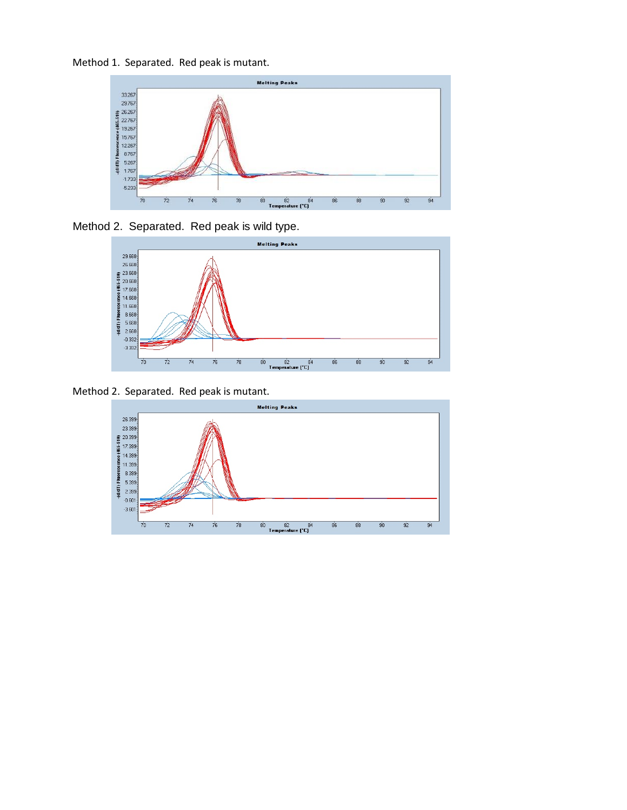Method 1. Separated. Red peak is mutant.



Method 2. Separated. Red peak is wild type.



Method 2. Separated. Red peak is mutant.

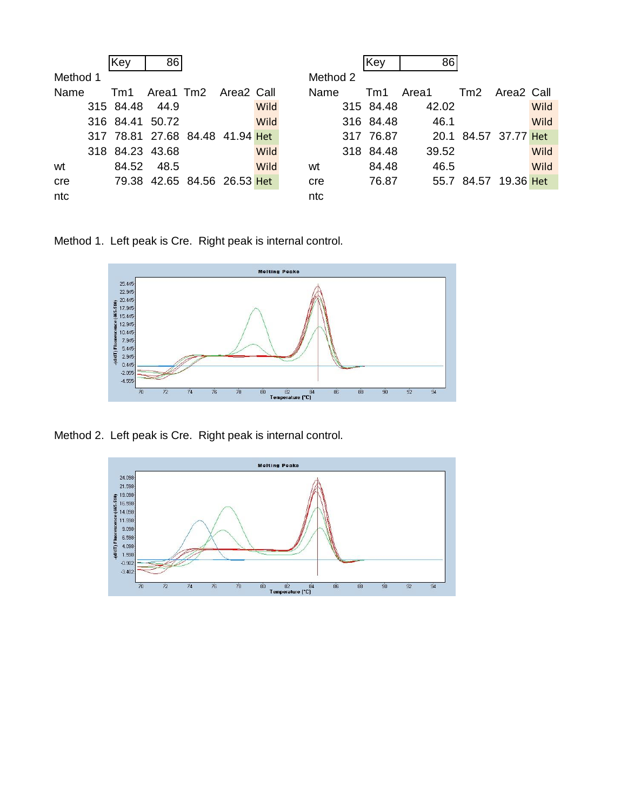|          | Key   | 86                              |  |      |     |          | <b>Key</b> | 86    |                      |      |
|----------|-------|---------------------------------|--|------|-----|----------|------------|-------|----------------------|------|
| Method 1 |       |                                 |  |      |     | Method 2 |            |       |                      |      |
| Name     | Tm1   | Area1 Tm2 Area2 Call            |  |      |     | Name     | Tm1        | Area1 | Tm2 Area2 Call       |      |
|          |       | 315 84.48 44.9                  |  | Wild |     |          | 315 84.48  | 42.02 |                      | Wild |
|          |       | 316 84.41 50.72                 |  | Wild |     |          | 316 84.48  | 46.1  |                      | Wild |
|          |       | 317 78.81 27.68 84.48 41.94 Het |  |      |     |          | 317 76.87  |       | 20.1 84.57 37.77 Het |      |
|          |       | 318 84.23 43.68                 |  | Wild |     |          | 318 84.48  | 39.52 |                      | Wild |
| wt       | 84.52 | 48.5                            |  | Wild | wt  |          | 84.48      | 46.5  |                      | Wild |
| cre      |       | 79.38 42.65 84.56 26.53 Het     |  |      | cre |          | 76.87      |       | 55.7 84.57 19.36 Het |      |
| ntc      |       |                                 |  |      | ntc |          |            |       |                      |      |

Method 1. Left peak is Cre. Right peak is internal control.



Method 2. Left peak is Cre. Right peak is internal control.

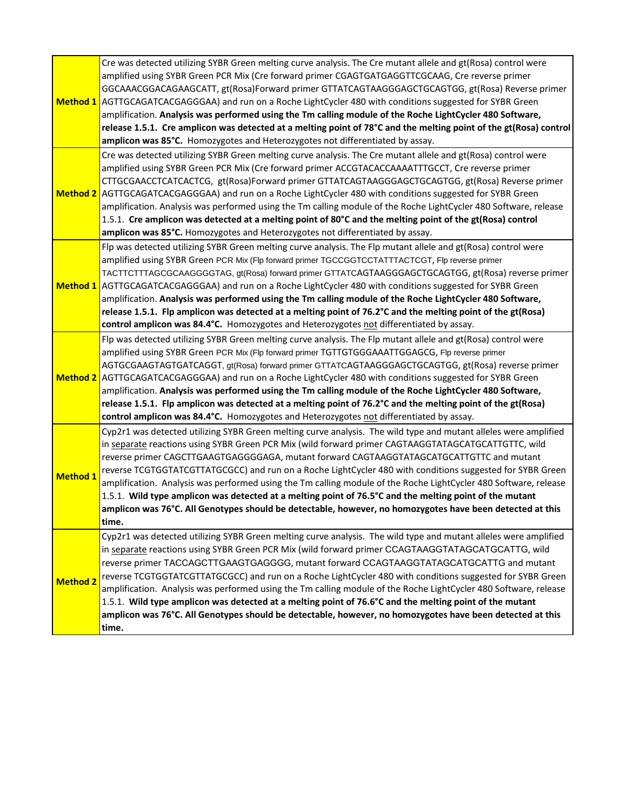|                 | Cre was detected utilizing SYBR Green melting curve analysis. The Cre mutant allele and gt(Rosa) control were<br>amplified using SYBR Green PCR Mix (Cre forward primer CGAGTGATGAGGTTCGCAAG, Cre reverse primer<br>GGCAAACGGACAGAAGCATT, gt(Rosa)Forward primer GTTATCAGTAAGGGAGCTGCAGTGG, gt(Rosa) Reverse primer<br>Method 1 AGTTGCAGATCACGAGGGAA) and run on a Roche LightCycler 480 with conditions suggested for SYBR Green<br>amplification. Analysis was performed using the Tm calling module of the Roche LightCycler 480 Software,<br>release 1.5.1. Cre amplicon was detected at a melting point of 78°C and the melting point of the gt(Rosa) control<br>amplicon was 85°C. Homozygotes and Heterozygotes not differentiated by assay.                                   |
|-----------------|---------------------------------------------------------------------------------------------------------------------------------------------------------------------------------------------------------------------------------------------------------------------------------------------------------------------------------------------------------------------------------------------------------------------------------------------------------------------------------------------------------------------------------------------------------------------------------------------------------------------------------------------------------------------------------------------------------------------------------------------------------------------------------------|
|                 | Cre was detected utilizing SYBR Green melting curve analysis. The Cre mutant allele and gt(Rosa) control were<br>amplified using SYBR Green PCR Mix (Cre forward primer ACCGTACACCAAAATTTGCCT, Cre reverse primer<br>CTTGCGAACCTCATCACTCG, gt(Rosa)Forward primer GTTATCAGTAAGGGAGCTGCAGTGG, gt(Rosa) Reverse primer<br>Method 2 AGTTGCAGATCACGAGGGAA) and run on a Roche LightCycler 480 with conditions suggested for SYBR Green<br>amplification. Analysis was performed using the Tm calling module of the Roche LightCycler 480 Software, release<br>1.5.1. Cre amplicon was detected at a melting point of 80°C and the melting point of the gt(Rosa) control<br>amplicon was 85°C. Homozygotes and Heterozygotes not differentiated by assay.                                  |
|                 | Flp was detected utilizing SYBR Green melting curve analysis. The Flp mutant allele and gt(Rosa) control were<br>amplified using SYBR Green PCR Mix (Flp forward primer TGCCGGTCCTATTTACTCGT, Flp reverse primer<br>TACTTCTTTAGCGCAAGGGGTAG, gt(Rosa) forward primer GTTATCAGTAAGGGAGCTGCAGTGG, gt(Rosa) reverse primer<br>Method 1 AGTTGCAGATCACGAGGGAA) and run on a Roche LightCycler 480 with conditions suggested for SYBR Green<br>amplification. Analysis was performed using the Tm calling module of the Roche LightCycler 480 Software,<br>release 1.5.1. Flp amplicon was detected at a melting point of 76.2°C and the melting point of the gt(Rosa)<br>control amplicon was 84.4°C. Homozygotes and Heterozygotes not differentiated by assay.                           |
|                 | Flp was detected utilizing SYBR Green melting curve analysis. The Flp mutant allele and gt(Rosa) control were<br>amplified using SYBR Green PCR Mix (Flp forward primer TGTTGTGGGAAATTGGAGCG, Flp reverse primer<br>AGTGCGAAGTAGTGATCAGGT, gt(Rosa) forward primer GTTATCAGTAAGGGAGCTGCAGTGG, gt(Rosa) reverse primer<br>Method 2 AGTTGCAGATCACGAGGGAA) and run on a Roche LightCycler 480 with conditions suggested for SYBR Green<br>amplification. Analysis was performed using the Tm calling module of the Roche LightCycler 480 Software,<br>release 1.5.1. Flp amplicon was detected at a melting point of 76.2°C and the melting point of the gt(Rosa)<br>control amplicon was 84.4°C. Homozygotes and Heterozygotes not differentiated by assay.                             |
| <b>Method 1</b> | Cyp2r1 was detected utilizing SYBR Green melting curve analysis. The wild type and mutant alleles were amplified<br>in separate reactions using SYBR Green PCR Mix (wild forward primer CAGTAAGGTATAGCATGCATTGTTC, wild<br>reverse primer CAGCTTGAAGTGAGGGGAGA, mutant forward CAGTAAGGTATAGCATGCATTGTTC and mutant<br>reverse TCGTGGTATCGTTATGCGCC) and run on a Roche LightCycler 480 with conditions suggested for SYBR Green<br>amplification. Analysis was performed using the Tm calling module of the Roche LightCycler 480 Software, release<br>1.5.1. Wild type amplicon was detected at a melting point of 76.5°C and the melting point of the mutant<br>amplicon was 76°C. All Genotypes should be detectable, however, no homozygotes have been detected at this<br>time. |
| <b>Method 2</b> | Cyp2r1 was detected utilizing SYBR Green melting curve analysis. The wild type and mutant alleles were amplified<br>in separate reactions using SYBR Green PCR Mix (wild forward primer CCAGTAAGGTATAGCATGCATTG, wild<br>reverse primer TACCAGCTTGAAGTGAGGGG, mutant forward CCAGTAAGGTATAGCATGCATTG and mutant<br>reverse TCGTGGTATCGTTATGCGCC) and run on a Roche LightCycler 480 with conditions suggested for SYBR Green<br>amplification. Analysis was performed using the Tm calling module of the Roche LightCycler 480 Software, release<br>1.5.1. Wild type amplicon was detected at a melting point of 76.6°C and the melting point of the mutant<br>amplicon was 76°C. All Genotypes should be detectable, however, no homozygotes have been detected at this<br>time.     |